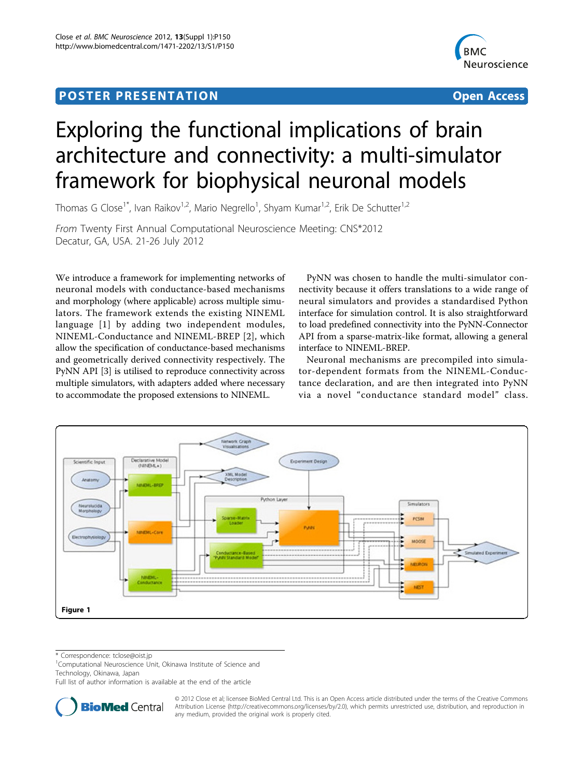## Post Experimental Police in the St English Police in the St English Police in the St English Police in the St<br>Police in the St English Police in the St English Police in the St English Police in the St English Police in



# Exploring the functional implications of brain architecture and connectivity: a multi-simulator framework for biophysical neuronal models

Thomas G Close<sup>1\*</sup>, Ivan Raikov<sup>1,2</sup>, Mario Negrello<sup>1</sup>, Shyam Kumar<sup>1,2</sup>, Erik De Schutter<sup>1,2</sup>

From Twenty First Annual Computational Neuroscience Meeting: CNS\*2012 Decatur, GA, USA. 21-26 July 2012

We introduce a framework for implementing networks of neuronal models with conductance-based mechanisms and morphology (where applicable) across multiple simulators. The framework extends the existing NINEML language [\[1\]](#page-1-0) by adding two independent modules, NINEML-Conductance and NINEML-BREP [\[2](#page-1-0)], which allow the specification of conductance-based mechanisms and geometrically derived connectivity respectively. The PyNN API [[3\]](#page-1-0) is utilised to reproduce connectivity across multiple simulators, with adapters added where necessary to accommodate the proposed extensions to NINEML.

PyNN was chosen to handle the multi-simulator connectivity because it offers translations to a wide range of neural simulators and provides a standardised Python interface for simulation control. It is also straightforward to load predefined connectivity into the PyNN-Connector API from a sparse-matrix-like format, allowing a general interface to NINEML-BREP.

Neuronal mechanisms are precompiled into simulator-dependent formats from the NINEML-Conductance declaration, and are then integrated into PyNN via a novel "conductance standard model" class.



\* Correspondence: [tclose@oist.jp](mailto:tclose@oist.jp)

<sup>1</sup>Computational Neuroscience Unit, Okinawa Institute of Science and

Technology, Okinawa, Japan

Full list of author information is available at the end of the article



© 2012 Close et al; licensee BioMed Central Ltd. This is an Open Access article distributed under the terms of the Creative Commons Attribution License [\(http://creativecommons.org/licenses/by/2.0](http://creativecommons.org/licenses/by/2.0)), which permits unrestricted use, distribution, and reproduction in any medium, provided the original work is properly cited.